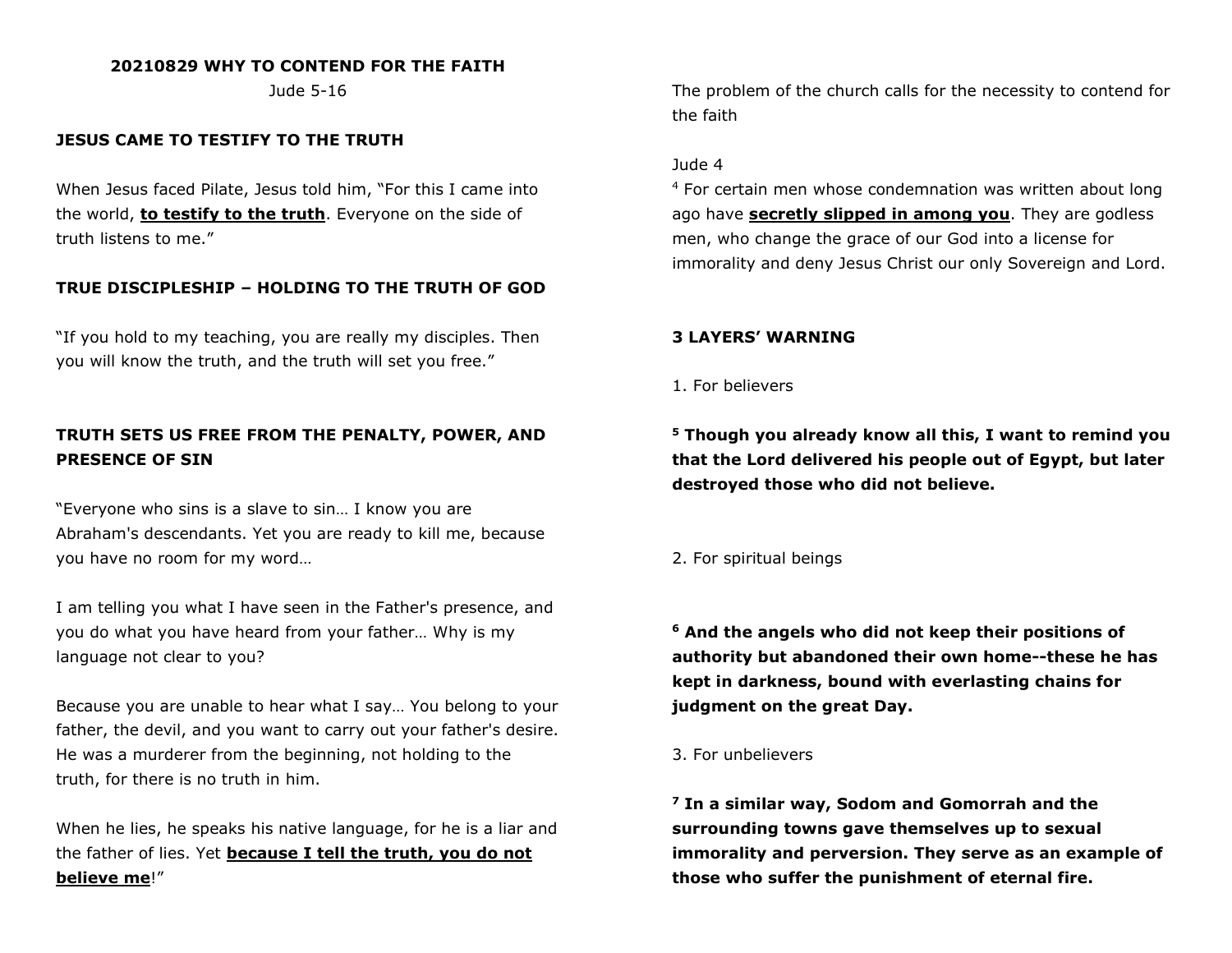# **20210829 WHY TO CONTEND FOR THE FAITH**

Jude 5-16

# **JESUS CAME TO TESTIFY TO THE TRUTH**

When Jesus faced Pilate, Jesus told him, "For this I came into the world, **to testify to the truth**. Everyone on the side of truth listens to me."

# **TRUE DISCIPLESHIP – HOLDING TO THE TRUTH OF GOD**

"If you hold to my teaching, you are really my disciples. Then you will know the truth, and the truth will set you free."

# **TRUTH SETS US FREE FROM THE PENALTY, POWER, AND PRESENCE OF SIN**

"Everyone who sins is a slave to sin… I know you are Abraham's descendants. Yet you are ready to kill me, because you have no room for my word…

I am telling you what I have seen in the Father's presence, and you do what you have heard from your father… Why is my language not clear to you?

Because you are unable to hear what I say… You belong to your father, the devil, and you want to carry out your father's desire. He was a murderer from the beginning, not holding to the truth, for there is no truth in him.

When he lies, he speaks his native language, for he is a liar and the father of lies. Yet **because I tell the truth, you do not believe me**!"

The problem of the church calls for the necessity to contend for the faith

## Jude 4

<sup>4</sup> For certain men whose condemnation was written about long ago have **secretly slipped in among you**. They are godless men, who change the grace of our God into a license for immorality and deny Jesus Christ our only Sovereign and Lord.

## **3 LAYERS' WARNING**

1. For believers

**<sup>5</sup> Though you already know all this, I want to remind you that the Lord delivered his people out of Egypt, but later destroyed those who did not believe.**

2. For spiritual beings

**<sup>6</sup> And the angels who did not keep their positions of authority but abandoned their own home--these he has kept in darkness, bound with everlasting chains for judgment on the great Day.**

## 3. For unbelievers

**<sup>7</sup> In a similar way, Sodom and Gomorrah and the surrounding towns gave themselves up to sexual immorality and perversion. They serve as an example of those who suffer the punishment of eternal fire.**